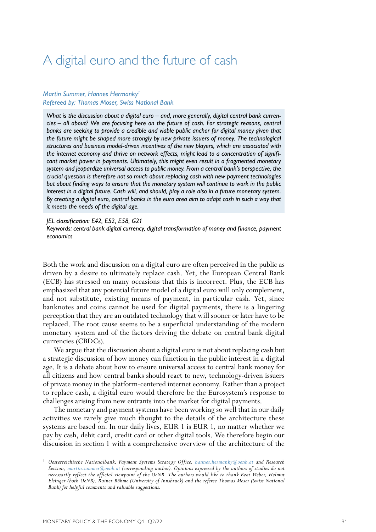# A digital euro and the future of cash

## *Martin Summer, Hannes Hermanky1 Refereed by: Thomas Moser, Swiss National Bank*

What is the discussion about a digital euro - and, more generally, digital central bank curren*cies – all about? We are focusing here on the future of cash. For strategic reasons, central banks are seeking to provide a credible and viable public anchor for digital money given that the future might be shaped more strongly by new private issuers of money. The technological structures and business model-driven incentives of the new players, which are associated with the internet economy and thrive on network effects, might lead to a concentration of significant market power in payments. Ultimately, this might even result in a fragmented monetary system and jeopardize universal access to public money. From a central bank's perspective, the crucial question is therefore not so much about replacing cash with new payment technologies but about finding ways to ensure that the monetary system will continue to work in the public interest in a digital future. Cash will, and should, play a role also in a future monetary system. By creating a digital euro, central banks in the euro area aim to adapt cash in such a way that it meets the needs of the digital age.*

#### *JEL classification: E42, E52, E58, G21*

*Keywords: central bank digital currency, digital transformation of money and finance, payment economics*

Both the work and discussion on a digital euro are often perceived in the public as driven by a desire to ultimately replace cash. Yet, the European Central Bank (ECB) has stressed on many occasions that this is incorrect. Plus, the ECB has emphasized that any potential future model of a digital euro will only complement, and not substitute, existing means of payment, in particular cash. Yet, since banknotes and coins cannot be used for digital payments, there is a lingering perception that they are an outdated technology that will sooner or later have to be replaced. The root cause seems to be a superficial understanding of the modern monetary system and of the factors driving the debate on central bank digital currencies (CBDCs).

We argue that the discussion about a digital euro is not about replacing cash but a strategic discussion of how money can function in the public interest in a digital age. It is a debate about how to ensure universal access to central bank money for all citizens and how central banks should react to new, technology-driven issuers of private money in the platform-centered internet economy. Rather than a project to replace cash, a digital euro would therefore be the Eurosystem's response to challenges arising from new entrants into the market for digital payments.

The monetary and payment systems have been working so well that in our daily activities we rarely give much thought to the details of the architecture these systems are based on. In our daily lives, EUR 1 is EUR 1, no matter whether we pay by cash, debit card, credit card or other digital tools. We therefore begin our discussion in section 1 with a comprehensive overview of the architecture of the

*<sup>1</sup> Oesterreichische Nationalbank, Payment Systems Strategy Office, hannes.hermanky@oenb.at and Research Section, martin.summer@oenb.at (corresponding author). Opinions expressed by the authors of studies do not necessarily reflect the official viewpoint of the OeNB. The authors would like to thank Beat Weber, Helmut Elsinger (both OeNB), Rainer Böhme (University of Innsbruck) and the referee Thomas Moser (Swiss National Bank) for helpful comments and valuable suggestions.*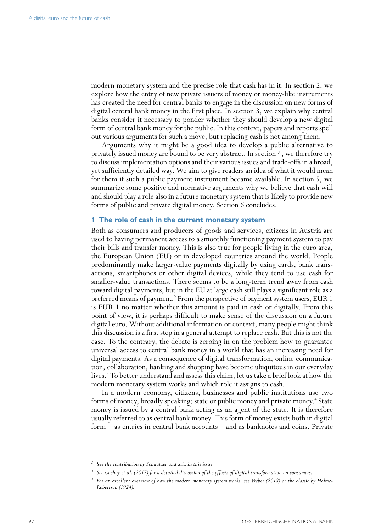modern monetary system and the precise role that cash has in it. In section 2, we explore how the entry of new private issuers of money or money-like instruments has created the need for central banks to engage in the discussion on new forms of digital central bank money in the first place. In section 3, we explain why central banks consider it necessary to ponder whether they should develop a new digital form of central bank money for the public. In this context, papers and reports spell out various arguments for such a move, but replacing cash is not among them.

Arguments why it might be a good idea to develop a public alternative to privately issued money are bound to be very abstract. In section 4, we therefore try to discuss implementation options and their various issues and trade-offs in a broad, yet sufficiently detailed way. We aim to give readers an idea of what it would mean for them if such a public payment instrument became available. In section 5, we summarize some positive and normative arguments why we believe that cash will and should play a role also in a future monetary system that is likely to provide new forms of public and private digital money. Section 6 concludes.

### **1 The role of cash in the current monetary system**

Both as consumers and producers of goods and services, citizens in Austria are used to having permanent access to a smoothly functioning payment system to pay their bills and transfer money. This is also true for people living in the euro area, the European Union (EU) or in developed countries around the world. People predominantly make larger-value payments digitally by using cards, bank transactions, smartphones or other digital devices, while they tend to use cash for smaller-value transactions. There seems to be a long-term trend away from cash toward digital payments, but in the EU at large cash still plays a significant role as a preferred means of payment.<sup>2</sup> From the perspective of payment system users, EUR 1 is EUR 1 no matter whether this amount is paid in cash or digitally. From this point of view, it is perhaps difficult to make sense of the discussion on a future digital euro. Without additional information or context, many people might think this discussion is a first step in a general attempt to replace cash. But this is not the case. To the contrary, the debate is zeroing in on the problem how to guarantee universal access to central bank money in a world that has an increasing need for digital payments. As a consequence of digital transformation, online communication, collaboration, banking and shopping have become ubiquitous in our everyday lives.3 To better understand and assess this claim, let us take a brief look at how the modern monetary system works and which role it assigns to cash.

In a modern economy, citizens, businesses and public institutions use two forms of money, broadly speaking: state or public money and private money.<sup>4</sup> State money is issued by a central bank acting as an agent of the state. It is therefore usually referred to as central bank money. This form of money exists both in digital form – as entries in central bank accounts – and as banknotes and coins. Private

*<sup>2</sup> See the contribution by Schautzer and Stix in this issue.*

*<sup>3</sup> See Cochoy et al. (2017) for a detailed discussion of the effects of digital transformation on consumers.*

*<sup>4</sup> For an excellent overview of how the modern monetary system works, see Weber (2018) or the classic by Holme-Robertson (1924).*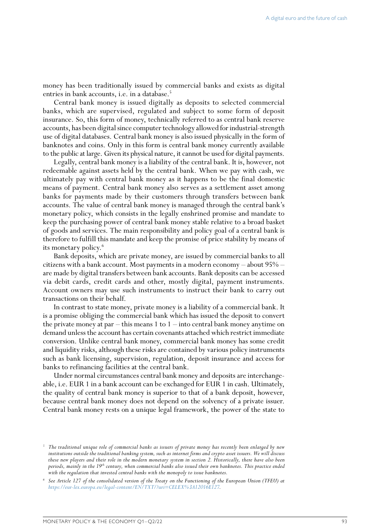money has been traditionally issued by commercial banks and exists as digital entries in bank accounts, i.e. in a database.<sup>5</sup>

Central bank money is issued digitally as deposits to selected commercial banks, which are supervised, regulated and subject to some form of deposit insurance. So, this form of money, technically referred to as central bank reserve accounts, has been digital since computer technology allowed for industrial-strength use of digital databases. Central bank money is also issued physically in the form of banknotes and coins. Only in this form is central bank money currently available to the public at large. Given its physical nature, it cannot be used for digital payments.

Legally, central bank money is a liability of the central bank. It is, however, not redeemable against assets held by the central bank. When we pay with cash, we ultimately pay with central bank money as it happens to be the final domestic means of payment. Central bank money also serves as a settlement asset among banks for payments made by their customers through transfers between bank accounts. The value of central bank money is managed through the central bank's monetary policy, which consists in the legally enshrined promise and mandate to keep the purchasing power of central bank money stable relative to a broad basket of goods and services. The main responsibility and policy goal of a central bank is therefore to fulfill this mandate and keep the promise of price stability by means of its monetary policy.6

Bank deposits, which are private money, are issued by commercial banks to all citizens with a bank account. Most payments in a modern economy – about 95% – are made by digital transfers between bank accounts. Bank deposits can be accessed via debit cards, credit cards and other, mostly digital, payment instruments. Account owners may use such instruments to instruct their bank to carry out transactions on their behalf.

In contrast to state money, private money is a liability of a commercial bank. It is a promise obliging the commercial bank which has issued the deposit to convert the private money at par – this means 1 to  $1$  – into central bank money anytime on demand unless the account has certain covenants attached which restrict immediate conversion. Unlike central bank money, commercial bank money has some credit and liquidity risks, although these risks are contained by various policy instruments such as bank licensing, supervision, regulation, deposit insurance and access for banks to refinancing facilities at the central bank.

Under normal circumstances central bank money and deposits are interchangeable, i.e. EUR 1 in a bank account can be exchanged for EUR 1 in cash. Ultimately, the quality of central bank money is superior to that of a bank deposit, however, because central bank money does not depend on the solvency of a private issuer. Central bank money rests on a unique legal framework, the power of the state to

*<sup>5</sup> The traditional unique role of commercial banks as issuers of private money has recently been enlarged by new institutions outside the traditional banking system, such as internet firms and crypto asset issuers. We will discuss these new players and their role in the modern monetary system in section 2. Historically, there have also been periods, mainly in the 19th century, when commercial banks also issued their own banknotes. This practice ended with the regulation that invested central banks with the monopoly to issue banknotes.* 

*<sup>6</sup> See Article 127 of the consolidated version of the Treaty on the Functioning of the European Union (TFEU) at <https://eur-lex.europa.eu/legal-content/EN/TXT/?uri=CELEX%3A12016E127>.*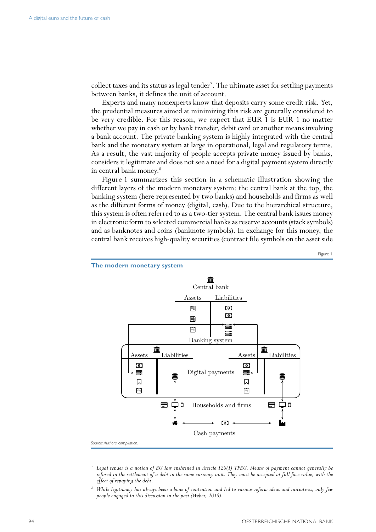collect taxes and its status as legal tender<sup>7</sup>. The ultimate asset for settling payments between banks, it defines the unit of account.

Experts and many nonexperts know that deposits carry some credit risk. Yet, the prudential measures aimed at minimizing this risk are generally considered to be very credible. For this reason, we expect that EUR 1 is EUR 1 no matter whether we pay in cash or by bank transfer, debit card or another means involving a bank account. The private banking system is highly integrated with the central bank and the monetary system at large in operational, legal and regulatory terms. As a result, the vast majority of people accepts private money issued by banks, considers it legitimate and does not see a need for a digital payment system directly in central bank money.8

Figure 1 summarizes this section in a schematic illustration showing the different layers of the modern monetary system: the central bank at the top, the banking system (here represented by two banks) and households and firms as well as the different forms of money (digital, cash). Due to the hierarchical structure, this system is often referred to as a two-tier system. The central bank issues money in electronic form to selected commercial banks as reserve accounts (stack symbols) and as banknotes and coins (banknote symbols). In exchange for this money, the central bank receives high-quality securities (contract file symbols on the asset side



- *<sup>7</sup> Legal tender is a notion of EU law enshrined in Article 128(1) TFEU. Means of payment cannot generally be refused in the settlement of a debt in the same currency unit. They must be accepted at full face value, with the effect of repaying the debt.*
- *<sup>8</sup> While legitimacy has always been a bone of contention and led to various reform ideas and initiatives, only few people engaged in this discussion in the past (Weber, 2018).*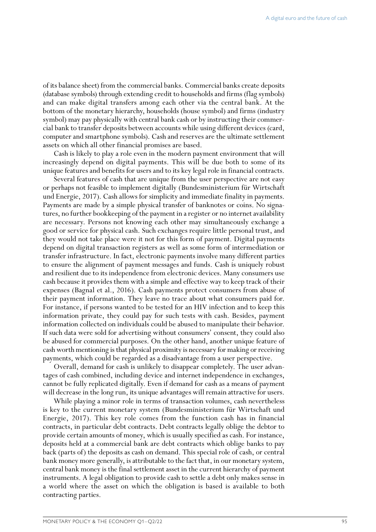of its balance sheet) from the commercial banks. Commercial banks create deposits (database symbols) through extending credit to households and firms (flag symbols) and can make digital transfers among each other via the central bank. At the bottom of the monetary hierarchy, households (house symbol) and firms (industry symbol) may pay physically with central bank cash or by instructing their commercial bank to transfer deposits between accounts while using different devices (card, computer and smartphone symbols). Cash and reserves are the ultimate settlement assets on which all other financial promises are based.

Cash is likely to play a role even in the modern payment environment that will increasingly depend on digital payments. This will be due both to some of its unique features and benefits for users and to its key legal role in financial contracts.

Several features of cash that are unique from the user perspective are not easy or perhaps not feasible to implement digitally (Bundesministerium für Wirtschaft und Energie, 2017). Cash allows for simplicity and immediate finality in payments. Payments are made by a simple physical transfer of banknotes or coins. No signatures, no further bookkeeping of the payment in a register or no internet availability are necessary. Persons not knowing each other may simultaneously exchange a good or service for physical cash. Such exchanges require little personal trust, and they would not take place were it not for this form of payment. Digital payments depend on digital transaction registers as well as some form of intermediation or transfer infrastructure. In fact, electronic payments involve many different parties to ensure the alignment of payment messages and funds. Cash is uniquely robust and resilient due to its independence from electronic devices. Many consumers use cash because it provides them with a simple and effective way to keep track of their expenses (Bagnal et al., 2016). Cash payments protect consumers from abuse of their payment information. They leave no trace about what consumers paid for. For instance, if persons wanted to be tested for an HIV infection and to keep this information private, they could pay for such tests with cash. Besides, payment information collected on individuals could be abused to manipulate their behavior. If such data were sold for advertising without consumers' consent, they could also be abused for commercial purposes. On the other hand, another unique feature of cash worth mentioning is that physical proximity is necessary for making or receiving payments, which could be regarded as a disadvantage from a user perspective.

Overall, demand for cash is unlikely to disappear completely. The user advantages of cash combined, including device and internet independence in exchanges, cannot be fully replicated digitally. Even if demand for cash as a means of payment will decrease in the long run, its unique advantages will remain attractive for users.

While playing a minor role in terms of transaction volumes, cash nevertheless is key to the current monetary system (Bundesministerium für Wirtschaft und Energie, 2017). This key role comes from the function cash has in financial contracts, in particular debt contracts. Debt contracts legally oblige the debtor to provide certain amounts of money, which is usually specified as cash. For instance, deposits held at a commercial bank are debt contracts which oblige banks to pay back (parts of) the deposits as cash on demand. This special role of cash, or central bank money more generally, is attributable to the fact that, in our monetary system, central bank money is the final settlement asset in the current hierarchy of payment instruments. A legal obligation to provide cash to settle a debt only makes sense in a world where the asset on which the obligation is based is available to both contracting parties.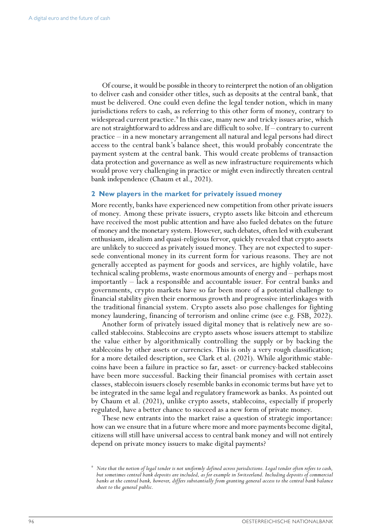Of course, it would be possible in theory to reinterpret the notion of an obligation to deliver cash and consider other titles, such as deposits at the central bank, that must be delivered. One could even define the legal tender notion, which in many jurisdictions refers to cash, as referring to this other form of money, contrary to widespread current practice.<sup>9</sup> In this case, many new and tricky issues arise, which are not straightforward to address and are difficult to solve. If – contrary to current practice – in a new monetary arrangement all natural and legal persons had direct access to the central bank's balance sheet, this would probably concentrate the payment system at the central bank. This would create problems of transaction data protection and governance as well as new infrastructure requirements which would prove very challenging in practice or might even indirectly threaten central bank independence (Chaum et al., 2021).

### **2 New players in the market for privately issued money**

More recently, banks have experienced new competition from other private issuers of money. Among these private issuers, crypto assets like bitcoin and ethereum have received the most public attention and have also fueled debates on the future of money and the monetary system. However, such debates, often led with exuberant enthusiasm, idealism and quasi-religious fervor, quickly revealed that crypto assets are unlikely to succeed as privately issued money. They are not expected to supersede conventional money in its current form for various reasons. They are not generally accepted as payment for goods and services, are highly volatile, have technical scaling problems, waste enormous amounts of energy and – perhaps most importantly – lack a responsible and accountable issuer. For central banks and governments, crypto markets have so far been more of a potential challenge to financial stability given their enormous growth and progressive interlinkages with the traditional financial system. Crypto assets also pose challenges for fighting money laundering, financing of terrorism and online crime (see e.g. FSB, 2022).

Another form of privately issued digital money that is relatively new are socalled stablecoins. Stablecoins are crypto assets whose issuers attempt to stabilize the value either by algorithmically controlling the supply or by backing the stablecoins by other assets or currencies. This is only a very rough classification; for a more detailed description, see Clark et al. (2021). While algorithmic stablecoins have been a failure in practice so far, asset- or currency-backed stablecoins have been more successful. Backing their financial promises with certain asset classes, stablecoin issuers closely resemble banks in economic terms but have yet to be integrated in the same legal and regulatory framework as banks. As pointed out by Chaum et al. (2021), unlike crypto assets, stablecoins, especially if properly regulated, have a better chance to succeed as a new form of private money.

These new entrants into the market raise a question of strategic importance: how can we ensure that in a future where more and more payments become digital, citizens will still have universal access to central bank money and will not entirely depend on private money issuers to make digital payments?

*<sup>9</sup> Note that the notion of legal tender is not uniformly defined across jurisdictions. Legal tender often refers to cash, but sometimes central bank deposits are included, as for example in Switzerland. Including deposits of commercial banks at the central bank, however, differs substantially from granting general access to the central bank balance sheet to the general public.*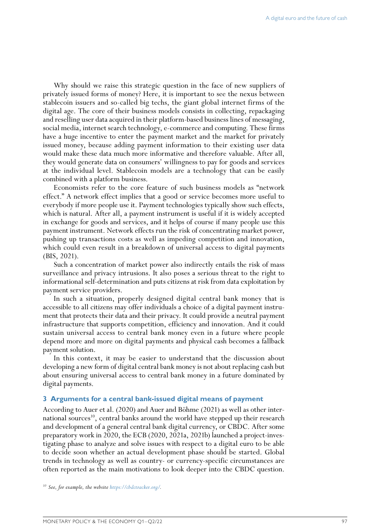Why should we raise this strategic question in the face of new suppliers of privately issued forms of money? Here, it is important to see the nexus between stablecoin issuers and so-called big techs, the giant global internet firms of the digital age. The core of their business models consists in collecting, repackaging and reselling user data acquired in their platform-based business lines of messaging, social media, internet search technology, e-commerce and computing. These firms have a huge incentive to enter the payment market and the market for privately issued money, because adding payment information to their existing user data would make these data much more informative and therefore valuable. After all, they would generate data on consumers' willingness to pay for goods and services at the individual level. Stablecoin models are a technology that can be easily combined with a platform business.

Economists refer to the core feature of such business models as "network effect." A network effect implies that a good or service becomes more useful to everybody if more people use it. Payment technologies typically show such effects, which is natural. After all, a payment instrument is useful if it is widely accepted in exchange for goods and services, and it helps of course if many people use this payment instrument. Network effects run the risk of concentrating market power, pushing up transactions costs as well as impeding competition and innovation, which could even result in a breakdown of universal access to digital payments (BIS, 2021).

Such a concentration of market power also indirectly entails the risk of mass surveillance and privacy intrusions. It also poses a serious threat to the right to informational self-determination and puts citizens at risk from data exploitation by payment service providers.

In such a situation, properly designed digital central bank money that is accessible to all citizens may offer individuals a choice of a digital payment instrument that protects their data and their privacy. It could provide a neutral payment infrastructure that supports competition, efficiency and innovation. And it could sustain universal access to central bank money even in a future where people depend more and more on digital payments and physical cash becomes a fallback payment solution.

In this context, it may be easier to understand that the discussion about developing a new form of digital central bank money is not about replacing cash but about ensuring universal access to central bank money in a future dominated by digital payments.

### **3 Arguments for a central bank-issued digital means of payment**

According to Auer et al. (2020) and Auer and Böhme (2021) as well as other international sources<sup>10</sup>, central banks around the world have stepped up their research and development of a general central bank digital currency, or CBDC. After some preparatory work in 2020, the ECB (2020, 2021a, 2021b) launched a project-investigating phase to analyze and solve issues with respect to a digital euro to be able to decide soon whether an actual development phase should be started. Global trends in technology as well as country- or currency-specific circumstances are often reported as the main motivations to look deeper into the CBDC question.

*<sup>10</sup> See, for example, the website https://cbdctracker.org/.*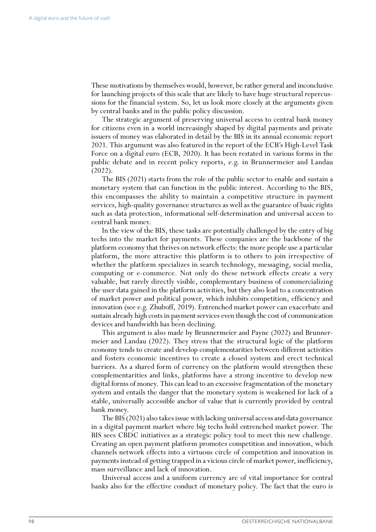These motivations by themselves would, however, be rather general and inconclusive for launching projects of this scale that are likely to have huge structural repercussions for the financial system. So, let us look more closely at the arguments given by central banks and in the public policy discussion.

The strategic argument of preserving universal access to central bank money for citizens even in a world increasingly shaped by digital payments and private issuers of money was elaborated in detail by the BIS in its annual economic report 2021. This argument was also featured in the report of the ECB's High-Level Task Force on a digital euro (ECB, 2020). It has been restated in various forms in the public debate and in recent policy reports, e.g. in Brunnermeier and Landau (2022).

The BIS (2021) starts from the role of the public sector to enable and sustain a monetary system that can function in the public interest. According to the BIS, this encompasses the ability to maintain a competitive structure in payment services, high-quality governance structures as well as the guarantee of basic rights such as data protection, informational self-determination and universal access to central bank money.

In the view of the BIS, these tasks are potentially challenged by the entry of big techs into the market for payments. These companies are the backbone of the platform economy that thrives on network effects: the more people use a particular platform, the more attractive this platform is to others to join irrespective of whether the platform specializes in search technology, messaging, social media, computing or e-commerce. Not only do these network effects create a very valuable, but rarely directly visible, complementary business of commercializing the user data gained in the platform activities, but they also lead to a concentration of market power and political power, which inhibits competition, efficiency and innovation (see e.g. Zhuboff, 2019). Entrenched market power can exacerbate and sustain already high costs in payment services even though the cost of communication devices and bandwidth has been declining.

This argument is also made by Brunnermeier and Payne (2022) and Brunnermeier and Landau (2022). They stress that the structural logic of the platform economy tends to create and develop complementarities between different activities and fosters economic incentives to create a closed system and erect technical barriers. As a shared form of currency on the platform would strengthen these complementarities and links, platforms have a strong incentive to develop new digital forms of money. This can lead to an excessive fragmentation of the monetary system and entails the danger that the monetary system is weakened for lack of a stable, universally accessible anchor of value that is currently provided by central bank money.

The BIS (2021) also takes issue with lacking universal access and data governance in a digital payment market where big techs hold entrenched market power. The BIS sees CBDC initiatives as a strategic policy tool to meet this new challenge. Creating an open payment platform promotes competition and innovation, which channels network effects into a virtuous circle of competition and innovation in payments instead of getting trapped in a vicious circle of market power, inefficiency, mass surveillance and lack of innovation.

Universal access and a uniform currency are of vital importance for central banks also for the effective conduct of monetary policy. The fact that the euro is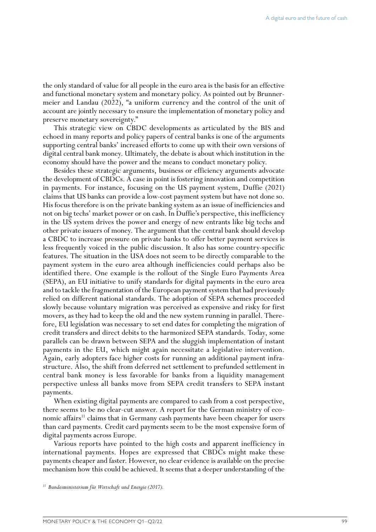the only standard of value for all people in the euro area is the basis for an effective and functional monetary system and monetary policy. As pointed out by Brunnermeier and Landau (2022), "a uniform currency and the control of the unit of account are jointly necessary to ensure the implementation of monetary policy and preserve monetary sovereignty."

This strategic view on CBDC developments as articulated by the BIS and echoed in many reports and policy papers of central banks is one of the arguments supporting central banks' increased efforts to come up with their own versions of digital central bank money. Ultimately, the debate is about which institution in the economy should have the power and the means to conduct monetary policy.

Besides these strategic arguments, business or efficiency arguments advocate the development of CBDCs. A case in point is fostering innovation and competition in payments. For instance, focusing on the US payment system, Duffie (2021) claims that US banks can provide a low-cost payment system but have not done so. His focus therefore is on the private banking system as an issue of inefficiencies and not on big techs' market power or on cash. In Duffie's perspective, this inefficiency in the US system drives the power and energy of new entrants like big techs and other private issuers of money. The argument that the central bank should develop a CBDC to increase pressure on private banks to offer better payment services is less frequently voiced in the public discussion. It also has some country-specific features. The situation in the USA does not seem to be directly comparable to the payment system in the euro area although inefficiencies could perhaps also be identified there. One example is the rollout of the Single Euro Payments Area (SEPA), an EU initiative to unify standards for digital payments in the euro area and to tackle the fragmentation of the European payment system that had previously relied on different national standards. The adoption of SEPA schemes proceeded slowly because voluntary migration was perceived as expensive and risky for first movers, as they had to keep the old and the new system running in parallel. Therefore, EU legislation was necessary to set end dates for completing the migration of credit transfers and direct debits to the harmonized SEPA standards. Today, some parallels can be drawn between SEPA and the sluggish implementation of instant payments in the EU, which might again necessitate a legislative intervention. Again, early adopters face higher costs for running an additional payment infrastructure. Also, the shift from deferred net settlement to prefunded settlement in central bank money is less favorable for banks from a liquidity management perspective unless all banks move from SEPA credit transfers to SEPA instant payments.

When existing digital payments are compared to cash from a cost perspective, there seems to be no clear-cut answer. A report for the German ministry of economic affairs<sup>11</sup> claims that in Germany cash payments have been cheaper for users than card payments. Credit card payments seem to be the most expensive form of digital payments across Europe.

Various reports have pointed to the high costs and apparent inefficiency in international payments. Hopes are expressed that CBDCs might make these payments cheaper and faster. However, no clear evidence is available on the precise mechanism how this could be achieved. It seems that a deeper understanding of the

*<sup>11</sup> Bundesministerium für Wirtschaft und Energie (2017).*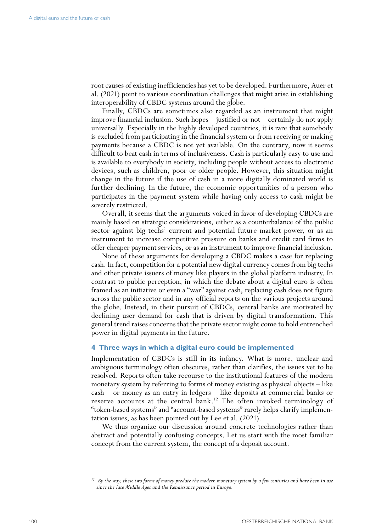root causes of existing inefficiencies has yet to be developed. Furthermore, Auer et al. (2021) point to various coordination challenges that might arise in establishing interoperability of CBDC systems around the globe.

Finally, CBDCs are sometimes also regarded as an instrument that might improve financial inclusion. Such hopes – justified or not – certainly do not apply universally. Especially in the highly developed countries, it is rare that somebody is excluded from participating in the financial system or from receiving or making payments because a CBDC is not yet available. On the contrary, now it seems difficult to beat cash in terms of inclusiveness. Cash is particularly easy to use and is available to everybody in society, including people without access to electronic devices, such as children, poor or older people. However, this situation might change in the future if the use of cash in a more digitally dominated world is further declining. In the future, the economic opportunities of a person who participates in the payment system while having only access to cash might be severely restricted.

Overall, it seems that the arguments voiced in favor of developing CBDCs are mainly based on strategic considerations, either as a counterbalance of the public sector against big techs' current and potential future market power, or as an instrument to increase competitive pressure on banks and credit card firms to offer cheaper payment services, or as an instrument to improve financial inclusion.

None of these arguments for developing a CBDC makes a case for replacing cash. In fact, competition for a potential new digital currency comes from big techs and other private issuers of money like players in the global platform industry. In contrast to public perception, in which the debate about a digital euro is often framed as an initiative or even a "war" against cash, replacing cash does not figure across the public sector and in any official reports on the various projects around the globe. Instead, in their pursuit of CBDCs, central banks are motivated by declining user demand for cash that is driven by digital transformation. This general trend raises concerns that the private sector might come to hold entrenched power in digital payments in the future.

## **4 Three ways in which a digital euro could be implemented**

Implementation of CBDCs is still in its infancy. What is more, unclear and ambiguous terminology often obscures, rather than clarifies, the issues yet to be resolved. Reports often take recourse to the institutional features of the modern monetary system by referring to forms of money existing as physical objects – like cash – or money as an entry in ledgers – like deposits at commercial banks or reserve accounts at the central bank.<sup>12</sup> The often invoked terminology of "token-based systems" and "account-based systems" rarely helps clarify implementation issues, as has been pointed out by Lee et al. (2021).

We thus organize our discussion around concrete technologies rather than abstract and potentially confusing concepts. Let us start with the most familiar concept from the current system, the concept of a deposit account.

<sup>&</sup>lt;sup>12</sup> By the way, these two forms of money predate the modern monetary system by a few centuries and have been in use *since the late Middle Ages and the Renaissance period in Europe.*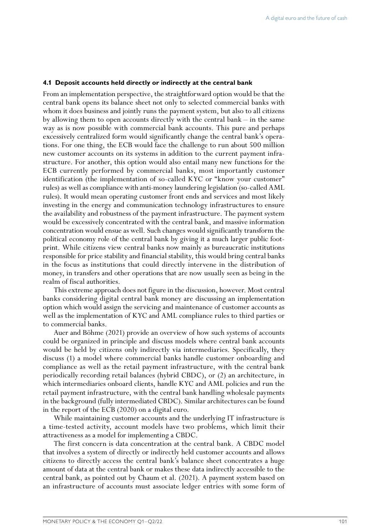#### **4.1 Deposit accounts held directly or indirectly at the central bank**

From an implementation perspective, the straightforward option would be that the central bank opens its balance sheet not only to selected commercial banks with whom it does business and jointly runs the payment system, but also to all citizens by allowing them to open accounts directly with the central bank – in the same way as is now possible with commercial bank accounts. This pure and perhaps excessively centralized form would significantly change the central bank's operations. For one thing, the ECB would face the challenge to run about 500 million new customer accounts on its systems in addition to the current payment infrastructure. For another, this option would also entail many new functions for the ECB currently performed by commercial banks, most importantly customer identification (the implementation of so-called KYC or "know your customer" rules) as well as compliance with anti-money laundering legislation (so-called AML rules). It would mean operating customer front ends and services and most likely investing in the energy and communication technology infrastructures to ensure the availability and robustness of the payment infrastructure. The payment system would be excessively concentrated with the central bank, and massive information concentration would ensue as well. Such changes would significantly transform the political economy role of the central bank by giving it a much larger public footprint. While citizens view central banks now mainly as bureaucratic institutions responsible for price stability and financial stability, this would bring central banks in the focus as institutions that could directly intervene in the distribution of money, in transfers and other operations that are now usually seen as being in the realm of fiscal authorities.

This extreme approach does not figure in the discussion, however. Most central banks considering digital central bank money are discussing an implementation option which would assign the servicing and maintenance of customer accounts as well as the implementation of KYC and AML compliance rules to third parties or to commercial banks.

Auer and Böhme (2021) provide an overview of how such systems of accounts could be organized in principle and discuss models where central bank accounts would be held by citizens only indirectly via intermediaries. Specifically, they discuss (1) a model where commercial banks handle customer onboarding and compliance as well as the retail payment infrastructure, with the central bank periodically recording retail balances (hybrid CBDC), or (2) an architecture, in which intermediaries onboard clients, handle KYC and AML policies and run the retail payment infrastructure, with the central bank handling wholesale payments in the background (fully intermediated CBDC). Similar architectures can be found in the report of the ECB (2020) on a digital euro.

While maintaining customer accounts and the underlying IT infrastructure is a time-tested activity, account models have two problems, which limit their attractiveness as a model for implementing a CBDC.

The first concern is data concentration at the central bank. A CBDC model that involves a system of directly or indirectly held customer accounts and allows citizens to directly access the central bank's balance sheet concentrates a huge amount of data at the central bank or makes these data indirectly accessible to the central bank, as pointed out by Chaum et al. (2021). A payment system based on an infrastructure of accounts must associate ledger entries with some form of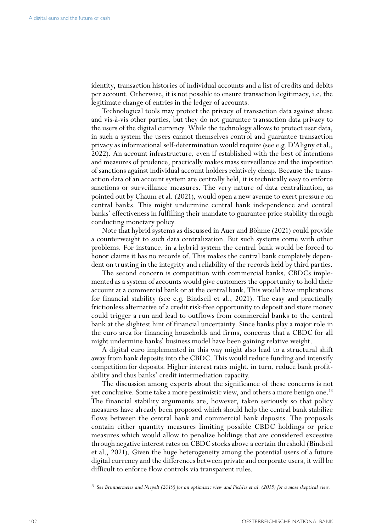identity, transaction histories of individual accounts and a list of credits and debits per account. Otherwise, it is not possible to ensure transaction legitimacy, i.e. the legitimate change of entries in the ledger of accounts.

Technological tools may protect the privacy of transaction data against abuse and vis-à-vis other parties, but they do not guarantee transaction data privacy to the users of the digital currency. While the technology allows to protect user data, in such a system the users cannot themselves control and guarantee transaction privacy as informational self-determination would require (see e.g. D'Aligny et al., 2022). An account infrastructure, even if established with the best of intentions and measures of prudence, practically makes mass surveillance and the imposition of sanctions against individual account holders relatively cheap. Because the transaction data of an account system are centrally held, it is technically easy to enforce sanctions or surveillance measures. The very nature of data centralization, as pointed out by Chaum et al. (2021), would open a new avenue to exert pressure on central banks. This might undermine central bank independence and central banks' effectiveness in fulfilling their mandate to guarantee price stability through conducting monetary policy.

Note that hybrid systems as discussed in Auer and Böhme (2021) could provide a counterweight to such data centralization. But such systems come with other problems. For instance, in a hybrid system the central bank would be forced to honor claims it has no records of. This makes the central bank completely dependent on trusting in the integrity and reliability of the records held by third parties.

The second concern is competition with commercial banks. CBDCs implemented as a system of accounts would give customers the opportunity to hold their account at a commercial bank or at the central bank. This would have implications for financial stability (see e.g. Bindseil et al., 2021). The easy and practically frictionless alternative of a credit risk-free opportunity to deposit and store money could trigger a run and lead to outflows from commercial banks to the central bank at the slightest hint of financial uncertainty. Since banks play a major role in the euro area for financing households and firms, concerns that a CBDC for all might undermine banks' business model have been gaining relative weight.

A digital euro implemented in this way might also lead to a structural shift away from bank deposits into the CBDC. This would reduce funding and intensify competition for deposits. Higher interest rates might, in turn, reduce bank profitability and thus banks' credit intermediation capacity.

The discussion among experts about the significance of these concerns is not yet conclusive. Some take a more pessimistic view, and others a more benign one.<sup>13</sup> The financial stability arguments are, however, taken seriously so that policy measures have already been proposed which should help the central bank stabilize flows between the central bank and commercial bank deposits. The proposals contain either quantity measures limiting possible CBDC holdings or price measures which would allow to penalize holdings that are considered excessive through negative interest rates on CBDC stocks above a certain threshold (Bindseil et al., 2021). Given the huge heterogeneity among the potential users of a future digital currency and the differences between private and corporate users, it will be difficult to enforce flow controls via transparent rules.

*<sup>13</sup> See Brunnermeier and Niepelt (2019) for an optimistic view and Pichler et al. (2018) for a more skeptical view.*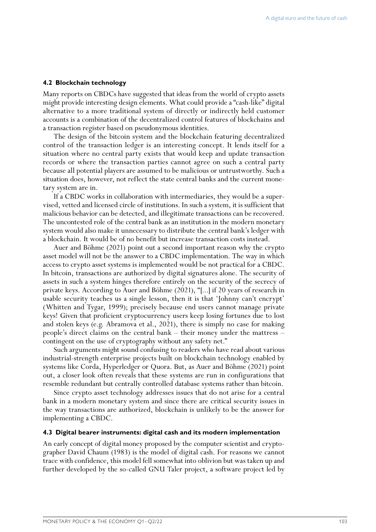### **4.2 Blockchain technology**

Many reports on CBDCs have suggested that ideas from the world of crypto assets might provide interesting design elements. What could provide a "cash-like" digital alternative to a more traditional system of directly or indirectly held customer accounts is a combination of the decentralized control features of blockchains and a transaction register based on pseudonymous identities.

The design of the bitcoin system and the blockchain featuring decentralized control of the transaction ledger is an interesting concept. It lends itself for a situation where no central party exists that would keep and update transaction records or where the transaction parties cannot agree on such a central party because all potential players are assumed to be malicious or untrustworthy. Such a situation does, however, not reflect the state central banks and the current monetary system are in.

If a CBDC works in collaboration with intermediaries, they would be a supervised, vetted and licensed circle of institutions. In such a system, it is sufficient that malicious behavior can be detected, and illegitimate transactions can be recovered. The uncontested role of the central bank as an institution in the modern monetary system would also make it unnecessary to distribute the central bank's ledger with a blockchain. It would be of no benefit but increase transaction costs instead.

Auer and Böhme (2021) point out a second important reason why the crypto asset model will not be the answer to a CBDC implementation. The way in which access to crypto asset systems is implemented would be not practical for a CBDC. In bitcoin, transactions are authorized by digital signatures alone. The security of assets in such a system hinges therefore entirely on the security of the secrecy of private keys. According to Auer and Böhme (2021), "[...] if 20 years of research in usable security teaches us a single lesson, then it is that 'Johnny can't encrypt' (Whitten and Tygar, 1999); precisely because end users cannot manage private keys! Given that proficient cryptocurrency users keep losing fortunes due to lost and stolen keys (e.g. Abramova et al., 2021), there is simply no case for making people's direct claims on the central bank – their money under the mattress – contingent on the use of cryptography without any safety net."

Such arguments might sound confusing to readers who have read about various industrial-strength enterprise projects built on blockchain technology enabled by systems like Corda, Hyperledger or Quora. But, as Auer and Böhme (2021) point out, a closer look often reveals that these systems are run in configurations that resemble redundant but centrally controlled database systems rather than bitcoin.

Since crypto asset technology addresses issues that do not arise for a central bank in a modern monetary system and since there are critical security issues in the way transactions are authorized, blockchain is unlikely to be the answer for implementing a CBDC.

#### **4.3 Digital bearer instruments: digital cash and its modern implementation**

An early concept of digital money proposed by the computer scientist and cryptographer David Chaum (1983) is the model of digital cash. For reasons we cannot trace with confidence, this model fell somewhat into oblivion but was taken up and further developed by the so-called GNU Taler project, a software project led by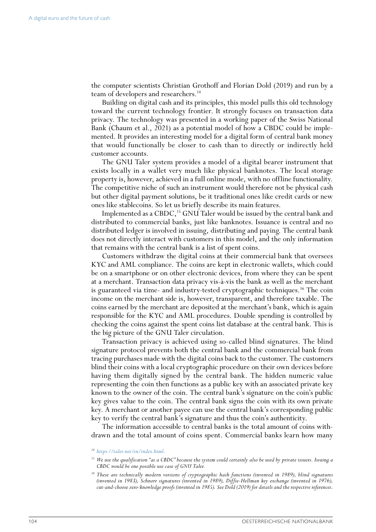the computer scientists Christian Grothoff and Florian Dold (2019) and run by a team of developers and researchers.<sup>14</sup>

Building on digital cash and its principles, this model pulls this old technology toward the current technology frontier. It strongly focuses on transaction data privacy. The technology was presented in a working paper of the Swiss National Bank (Chaum et al., 2021) as a potential model of how a CBDC could be implemented. It provides an interesting model for a digital form of central bank money that would functionally be closer to cash than to directly or indirectly held customer accounts.

The GNU Taler system provides a model of a digital bearer instrument that exists locally in a wallet very much like physical banknotes. The local storage property is, however, achieved in a full online mode, with no offline functionality. The competitive niche of such an instrument would therefore not be physical cash but other digital payment solutions, be it traditional ones like credit cards or new ones like stablecoins. So let us briefly describe its main features.

Implemented as a CBDC,<sup>15</sup> GNU Taler would be issued by the central bank and distributed to commercial banks, just like banknotes. Issuance is central and no distributed ledger is involved in issuing, distributing and paying. The central bank does not directly interact with customers in this model, and the only information that remains with the central bank is a list of spent coins.

Customers withdraw the digital coins at their commercial bank that oversees KYC and AML compliance. The coins are kept in electronic wallets, which could be on a smartphone or on other electronic devices, from where they can be spent at a merchant. Transaction data privacy vis-à-vis the bank as well as the merchant is guaranteed via time- and industry-tested cryptographic techniques.<sup>16</sup> The coin income on the merchant side is, however, transparent, and therefore taxable. The coins earned by the merchant are deposited at the merchant's bank, which is again responsible for the KYC and AML procedures. Double spending is controlled by checking the coins against the spent coins list database at the central bank. This is the big picture of the GNU Taler circulation.

Transaction privacy is achieved using so-called blind signatures. The blind signature protocol prevents both the central bank and the commercial bank from tracing purchases made with the digital coins back to the customer. The customers blind their coins with a local cryptographic procedure on their own devices before having them digitally signed by the central bank. The hidden numeric value representing the coin then functions as a public key with an associated private key known to the owner of the coin. The central bank's signature on the coin's public key gives value to the coin. The central bank signs the coin with its own private key. A merchant or another payee can use the central bank's corresponding public key to verify the central bank's signature and thus the coin's authenticity.

The information accessible to central banks is the total amount of coins withdrawn and the total amount of coins spent. Commercial banks learn how many

*<sup>14</sup> https://taler.net/en/index.html.*

*<sup>15</sup> We use the qualification "as a CBDC" because the system could certainly also be used by private issuers. Issuing a CBDC would be one possible use case of GNU Taler.* 

<sup>&</sup>lt;sup>16</sup> These are technically modern versions of cryptographic hash functions (invented in 1989), blind signatures *(invented in 1983), Schnorr signatures (invented in 1989), Diffie-Hellman key exchange (invented in 1976), cut-and-choose zero-knowledge proofs (invented in 1985). See Dold (2019) for details and the respective references.*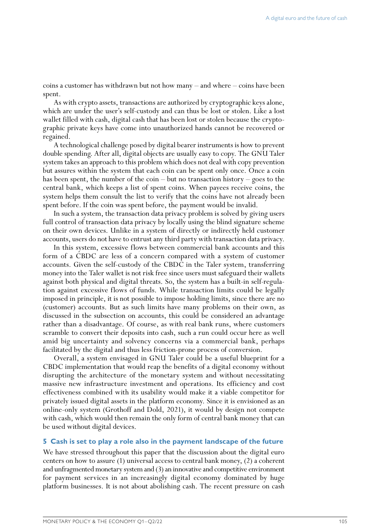coins a customer has withdrawn but not how many – and where – coins have been spent.

As with crypto assets, transactions are authorized by cryptographic keys alone, which are under the user's self-custody and can thus be lost or stolen. Like a lost wallet filled with cash, digital cash that has been lost or stolen because the cryptographic private keys have come into unauthorized hands cannot be recovered or regained.

A technological challenge posed by digital bearer instruments is how to prevent double spending. After all, digital objects are usually easy to copy. The GNU Taler system takes an approach to this problem which does not deal with copy prevention but assures within the system that each coin can be spent only once. Once a coin has been spent, the number of the coin – but no transaction history – goes to the central bank, which keeps a list of spent coins. When payees receive coins, the system helps them consult the list to verify that the coins have not already been spent before. If the coin was spent before, the payment would be invalid.

In such a system, the transaction data privacy problem is solved by giving users full control of transaction data privacy by locally using the blind signature scheme on their own devices. Unlike in a system of directly or indirectly held customer accounts, users do not have to entrust any third party with transaction data privacy.

In this system, excessive flows between commercial bank accounts and this form of a CBDC are less of a concern compared with a system of customer accounts. Given the self-custody of the CBDC in the Taler system, transferring money into the Taler wallet is not risk free since users must safeguard their wallets against both physical and digital threats. So, the system has a built-in self-regulation against excessive flows of funds. While transaction limits could be legally imposed in principle, it is not possible to impose holding limits, since there are no (customer) accounts. But as such limits have many problems on their own, as discussed in the subsection on accounts, this could be considered an advantage rather than a disadvantage. Of course, as with real bank runs, where customers scramble to convert their deposits into cash, such a run could occur here as well amid big uncertainty and solvency concerns via a commercial bank, perhaps facilitated by the digital and thus less friction-prone process of conversion.

Overall, a system envisaged in GNU Taler could be a useful blueprint for a CBDC implementation that would reap the benefits of a digital economy without disrupting the architecture of the monetary system and without necessitating massive new infrastructure investment and operations. Its efficiency and cost effectiveness combined with its usability would make it a viable competitor for privately issued digital assets in the platform economy. Since it is envisioned as an online-only system (Grothoff and Dold, 2021), it would by design not compete with cash, which would then remain the only form of central bank money that can be used without digital devices.

### **5 Cash is set to play a role also in the payment landscape of the future**

We have stressed throughout this paper that the discussion about the digital euro centers on how to assure (1) universal access to central bank money, (2) a coherent and unfragmented monetary system and (3) an innovative and competitive environment for payment services in an increasingly digital economy dominated by huge platform businesses. It is not about abolishing cash. The recent pressure on cash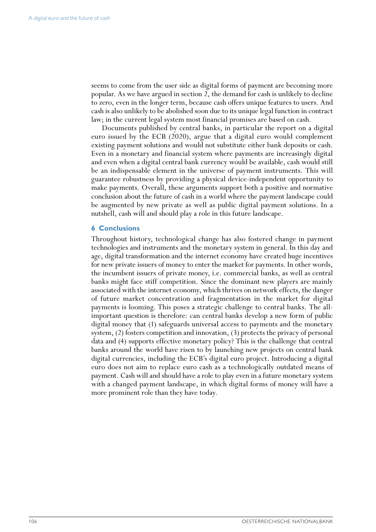seems to come from the user side as digital forms of payment are becoming more popular. As we have argued in section 2, the demand for cash is unlikely to decline to zero, even in the longer term, because cash offers unique features to users. And cash is also unlikely to be abolished soon due to its unique legal function in contract law; in the current legal system most financial promises are based on cash.

Documents published by central banks, in particular the report on a digital euro issued by the ECB (2020), argue that a digital euro would complement existing payment solutions and would not substitute either bank deposits or cash. Even in a monetary and financial system where payments are increasingly digital and even when a digital central bank currency would be available, cash would still be an indispensable element in the universe of payment instruments. This will guarantee robustness by providing a physical device-independent opportunity to make payments. Overall, these arguments support both a positive and normative conclusion about the future of cash in a world where the payment landscape could be augmented by new private as well as public digital payment solutions. In a nutshell, cash will and should play a role in this future landscape.

### **6 Conclusions**

Throughout history, technological change has also fostered change in payment technologies and instruments and the monetary system in general. In this day and age, digital transformation and the internet economy have created huge incentives for new private issuers of money to enter the market for payments. In other words, the incumbent issuers of private money, i.e. commercial banks, as well as central banks might face stiff competition. Since the dominant new players are mainly associated with the internet economy, which thrives on network effects, the danger of future market concentration and fragmentation in the market for digital payments is looming. This poses a strategic challenge to central banks. The allimportant question is therefore: can central banks develop a new form of public digital money that (1) safeguards universal access to payments and the monetary system, (2) fosters competition and innovation, (3) protects the privacy of personal data and (4) supports effective monetary policy? This is the challenge that central banks around the world have risen to by launching new projects on central bank digital currencies, including the ECB's digital euro project. Introducing a digital euro does not aim to replace euro cash as a technologically outdated means of payment. Cash will and should have a role to play even in a future monetary system with a changed payment landscape, in which digital forms of money will have a more prominent role than they have today.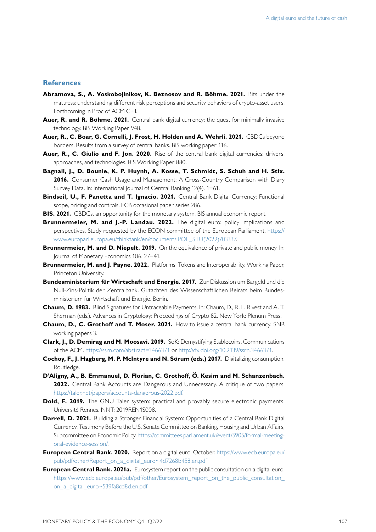## **References**

- **Abramova, S., A. Voskobojinikov, K. Beznosov and R. Böhme. 2021.** Bits under the mattress: understanding different risk perceptions and security behaviors of crypto-asset users. Forthcoming in Proc of ACM CHI.
- **Auer, R. and R. Böhme. 2021.** Central bank digital currency: the quest for minimally invasive technology. BIS Working Paper 948.
- **Auer, R., C. Boar, G. Cornelli, J. Frost, H. Holden and A. Wehrli. 2021.** CBDCs beyond borders. Results from a survey of central banks. BIS working paper 116.
- **Auer, R., C. Giulio and F. Jon. 2020.** Rise of the central bank digital currencies: drivers, approaches, and technologies. BIS Working Paper 880.
- **Bagnall, J., D. Bounie, K. P. Huynh, A. Kosse, T. Schmidt, S. Schuh and H. Stix. 2016.** Consumer Cash Usage and Management: A Cross-Country Comparison with Diary Survey Data. In: International Journal of Central Banking 12(4). 1−61.
- **Bindseil, U., F. Panetta and T. Ignacio. 2021.** Central Bank Digital Currency: Functional scope, pricing and controls. ECB occasional paper series 286.
- **BIS. 2021.** CBDCs, an opportunity for the monetary system. BIS annual economic report.
- **Brunnermeier, M. and J.-P. Landau. 2022.** The digital euro: policy implications and perspectives. Study requested by the ECON committee of the European Parliament. [https://](https://www.europarl.europa.eu/thinktank/en/document/IPOL_STU(2022)703337) [www.europarl.europa.eu/thinktank/en/document/IPOL\\_STU\(2022\)703337](https://www.europarl.europa.eu/thinktank/en/document/IPOL_STU(2022)703337).
- **Brunnermeier, M. and D. Niepelt. 2019.** On the equivalence of private and public money. In: Journal of Monetary Economics 106. 27−41.
- **Brunnermeier, M. and J. Payne. 2022.** Platforms, Tokens and Interoperability. Working Paper, Princeton University.
- **Bundesministerium für Wirtschaft und Energie. 2017.** Zur Diskussion um Bargeld und die Null-Zins-Politik der Zentralbank. Gutachten des Wissenschaftlichen Beirats beim Bundesministerium für Wirtschaft und Energie. Berlin.
- **Chaum, D. 1983.** Blind Signatures for Untraceable Payments. In: Chaum, D., R. L. Rivest and A. T. Sherman (eds.). Advances in Cryptology: Proceedings of Crypto 82. New York: Plenum Press.
- **Chaum, D., C. Grothoff and T. Moser. 2021.** How to issue a central bank currency. SNB working papers 3.
- **Clark, J., D. Demirag and M. Moosavi. 2019.** SoK: Demystifying Stablecoins. Communications of the ACM. [https://ssrn.com/abstract=3466371](https://papers.ssrn.com/sol3/papers.cfm?abstract_id=3466371) or [http://dx.doi.org/10.2139/ssrn.3466371.](https://papers.ssrn.com/sol3/papers.cfm?abstract_id=3466371)
- **Cochoy, F., J. Hagberg, M. P. McIntyre and N. Sörum (eds.) 2017.** Digitalizing consumption. Routledge.
- **D'Aligny, A., B. Emmanuel, D. Florian, C. Grothoff, Ö. Kesim and M. Schanzenbach. 2022.** Central Bank Accounts are Dangerous and Unnecessary. A critique of two papers. <https://taler.net/papers/accounts-dangerous-2022.pdf>.
- **Dold, F. 2019.** The GNU Taler system: practical and provably secure electronic payments. Université Rennes. NNT: 2019REN1S008.
- **Darrell, D. 2021.** Building a Stronger Financial System: Opportunities of a Central Bank Digital Currency. Testimony Before the U.S. Senate Committee on Banking, Housing and Urban Affairs, Subcommittee on Economic Policy. [https://committees.parliament.uk/event/5905/formal-meeting](https://committees.parliament.uk/event/5905/formal-meeting-oral-evidence-session/)[oral-evidence-session/](https://committees.parliament.uk/event/5905/formal-meeting-oral-evidence-session/).
- **European Central Bank. 2020.** Report on a digital euro. October. [https://www.ecb.europa.eu/](https://www.ecb.europa.eu/pub/pdf/other/Report_on_a_digital_euro~4d7268b458.en.pdf) [pub/pdf/other/Report\\_on\\_a\\_digital\\_euro~4d7268b458.en.pdf](https://www.ecb.europa.eu/pub/pdf/other/Report_on_a_digital_euro~4d7268b458.en.pdf)
- **European Central Bank. 2021a.** Eurosystem report on the public consultation on a digital euro. [https://www.ecb.europa.eu/pub/pdf/other/Eurosystem\\_report\\_on\\_the\\_public\\_consultation\\_](https://www.ecb.europa.eu/pub/pdf/other/Eurosystem_report_on_the_public_consultation_on_a_digital_euro~539fa8cd8d.en.pdf) [on\\_a\\_digital\\_euro~539fa8cd8d.en.pdf.](https://www.ecb.europa.eu/pub/pdf/other/Eurosystem_report_on_the_public_consultation_on_a_digital_euro~539fa8cd8d.en.pdf)